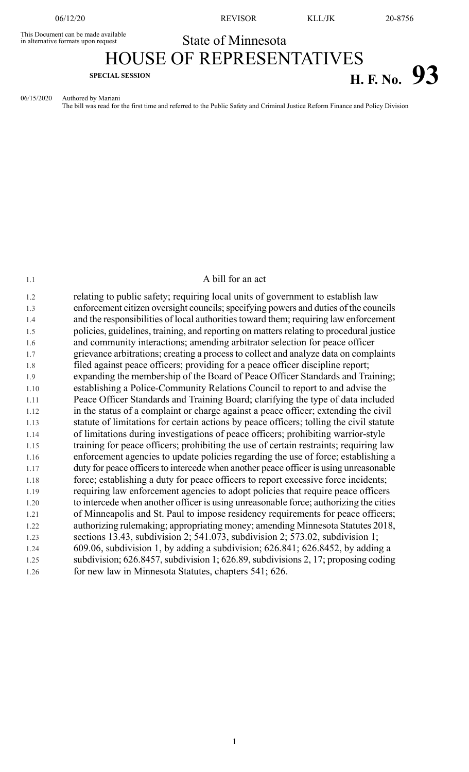This Document can be made available<br>in alternative formats upon request<br>State of Minnesota in alternative formats upon request

06/12/20 **REVISOR KLL/JK** 20-8756

HOUSE OF REPRESENTATIVES

# **SPECIAL SESSION H. F. No. 93**

06/15/2020 Authored by Mariani

The bill was read for the first time and referred to the Public Safety and Criminal Justice Reform Finance and Policy Division

#### 1.1 A bill for an act

1.2 relating to public safety; requiring local units of government to establish law 1.3 enforcement citizen oversight councils; specifying powers and duties of the councils 1.4 and the responsibilities of local authorities toward them; requiring law enforcement 1.5 policies, guidelines, training, and reporting on mattersrelating to procedural justice 1.6 and community interactions; amending arbitrator selection for peace officer 1.7 grievance arbitrations; creating a process to collect and analyze data on complaints 1.8 filed against peace officers; providing for a peace officer discipline report; 1.9 expanding the membership of the Board of Peace Officer Standards and Training; 1.10 establishing a Police-Community Relations Council to report to and advise the 1.11 Peace Officer Standards and Training Board; clarifying the type of data included 1.12 in the status of a complaint or charge against a peace officer; extending the civil 1.13 statute of limitations for certain actions by peace officers; tolling the civil statute 1.14 of limitations during investigations of peace officers; prohibiting warrior-style 1.15 training for peace officers; prohibiting the use of certain restraints; requiring law 1.16 enforcement agencies to update policies regarding the use of force; establishing a 1.17 duty for peace officersto intercede when another peace officer is using unreasonable 1.18 force; establishing a duty for peace officers to report excessive force incidents; 1.19 requiring law enforcement agencies to adopt policies that require peace officers 1.20 to intercede when another officer is using unreasonable force; authorizing the cities 1.21 of Minneapolis and St. Paul to impose residency requirements for peace officers; 1.22 authorizing rulemaking; appropriating money; amending Minnesota Statutes 2018, 1.23 sections 13.43, subdivision 2; 541.073, subdivision 2; 573.02, subdivision 1; 1.24 609.06, subdivision 1, by adding a subdivision; 626.841; 626.8452, by adding a 1.25 subdivision; 626.8457,subdivision 1; 626.89,subdivisions 2, 17; proposing coding 1.26 for new law in Minnesota Statutes, chapters 541; 626.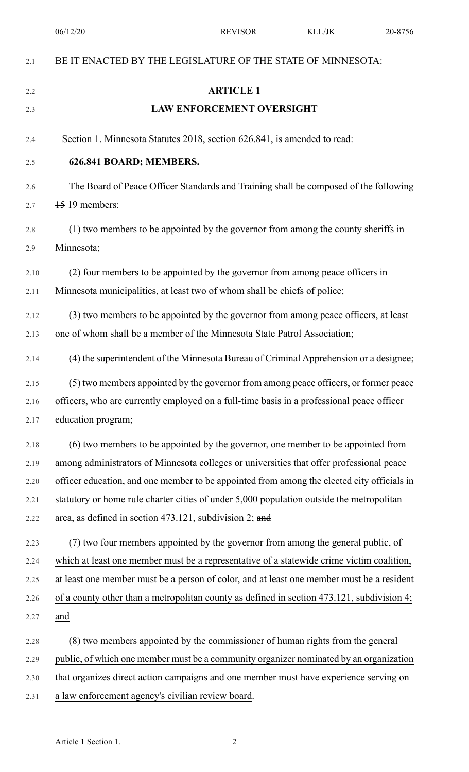|      | 06/12/20                                                                                   | <b>REVISOR</b>                   | KLL/JK | 20-8756 |
|------|--------------------------------------------------------------------------------------------|----------------------------------|--------|---------|
| 2.1  | BE IT ENACTED BY THE LEGISLATURE OF THE STATE OF MINNESOTA:                                |                                  |        |         |
| 2.2  |                                                                                            | <b>ARTICLE 1</b>                 |        |         |
| 2.3  |                                                                                            | <b>LAW ENFORCEMENT OVERSIGHT</b> |        |         |
| 2.4  | Section 1. Minnesota Statutes 2018, section 626.841, is amended to read:                   |                                  |        |         |
| 2.5  | 626.841 BOARD; MEMBERS.                                                                    |                                  |        |         |
| 2.6  | The Board of Peace Officer Standards and Training shall be composed of the following       |                                  |        |         |
| 2.7  | 15 19 members:                                                                             |                                  |        |         |
| 2.8  | (1) two members to be appointed by the governor from among the county sheriffs in          |                                  |        |         |
| 2.9  | Minnesota;                                                                                 |                                  |        |         |
| 2.10 | (2) four members to be appointed by the governor from among peace officers in              |                                  |        |         |
| 2.11 | Minnesota municipalities, at least two of whom shall be chiefs of police;                  |                                  |        |         |
| 2.12 | (3) two members to be appointed by the governor from among peace officers, at least        |                                  |        |         |
| 2.13 | one of whom shall be a member of the Minnesota State Patrol Association;                   |                                  |        |         |
| 2.14 | (4) the superintendent of the Minnesota Bureau of Criminal Apprehension or a designee;     |                                  |        |         |
| 2.15 | (5) two members appointed by the governor from among peace officers, or former peace       |                                  |        |         |
| 2.16 | officers, who are currently employed on a full-time basis in a professional peace officer  |                                  |        |         |
| 2.17 | education program;                                                                         |                                  |        |         |
| 2.18 | (6) two members to be appointed by the governor, one member to be appointed from           |                                  |        |         |
| 2.19 | among administrators of Minnesota colleges or universities that offer professional peace   |                                  |        |         |
| 2.20 | officer education, and one member to be appointed from among the elected city officials in |                                  |        |         |
| 2.21 | statutory or home rule charter cities of under 5,000 population outside the metropolitan   |                                  |        |         |
| 2.22 | area, as defined in section 473.121, subdivision 2; and                                    |                                  |        |         |
| 2.23 | (7) two four members appointed by the governor from among the general public, of           |                                  |        |         |
| 2.24 | which at least one member must be a representative of a statewide crime victim coalition,  |                                  |        |         |
| 2.25 | at least one member must be a person of color, and at least one member must be a resident  |                                  |        |         |
| 2.26 | of a county other than a metropolitan county as defined in section 473.121, subdivision 4; |                                  |        |         |
| 2.27 | and                                                                                        |                                  |        |         |
| 2.28 | (8) two members appointed by the commissioner of human rights from the general             |                                  |        |         |
| 2.29 | public, of which one member must be a community organizer nominated by an organization     |                                  |        |         |
| 2.30 | that organizes direct action campaigns and one member must have experience serving on      |                                  |        |         |
| 2.31 | a law enforcement agency's civilian review board.                                          |                                  |        |         |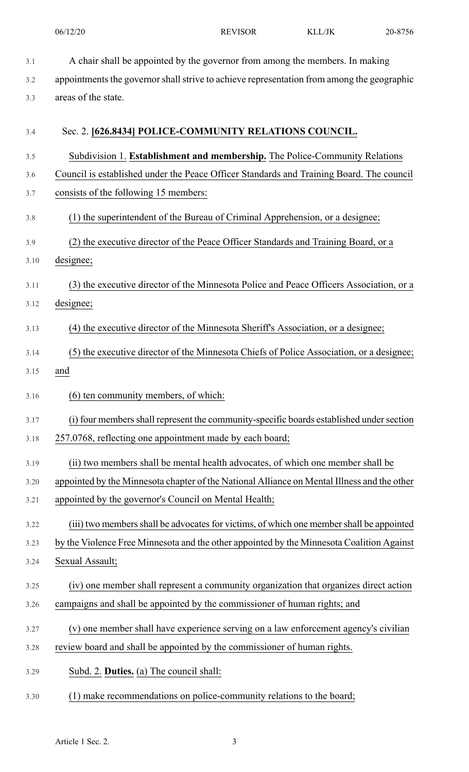3.1 A chair shall be appointed by the governor from among the members. In making 3.2 appointments the governor shall strive to achieve representation from among the geographic 3.3 areas of the state. 3.4 Sec. 2. **[626.8434] POLICE-COMMUNITY RELATIONS COUNCIL.** 3.5 Subdivision 1. **Establishment and membership.** The Police-Community Relations 3.6 Council is established under the Peace Officer Standards and Training Board. The council 3.7 consists of the following 15 members: 3.8 (1) the superintendent of the Bureau of Criminal Apprehension, or a designee; 3.9 (2) the executive director of the Peace Officer Standards and Training Board, or a 3.10 designee; 3.11 (3) the executive director of the Minnesota Police and Peace Officers Association, or a 3.12 designee; 3.13 (4) the executive director of the Minnesota Sheriff's Association, or a designee; 3.14 (5) the executive director of the Minnesota Chiefs of Police Association, or a designee; 3.15 and 3.16 (6) ten community members, of which: 3.17 (i) four membersshall represent the community-specific boards established undersection 3.18 257.0768, reflecting one appointment made by each board; 3.19 (ii) two members shall be mental health advocates, of which one member shall be 3.20 appointed by the Minnesota chapter of the National Alliance on Mental Illness and the other 3.21 appointed by the governor's Council on Mental Health; 3.22 (iii) two members shall be advocates for victims, of which one member shall be appointed 3.23 by the Violence Free Minnesota and the other appointed by the Minnesota Coalition Against 3.24 Sexual Assault; 3.25 (iv) one member shall represent a community organization that organizes direct action 3.26 campaigns and shall be appointed by the commissioner of human rights; and 3.27 (v) one member shall have experience serving on a law enforcement agency's civilian 3.28 review board and shall be appointed by the commissioner of human rights. 3.29 Subd. 2. **Duties.** (a) The council shall: 3.30 (1) make recommendations on police-community relations to the board;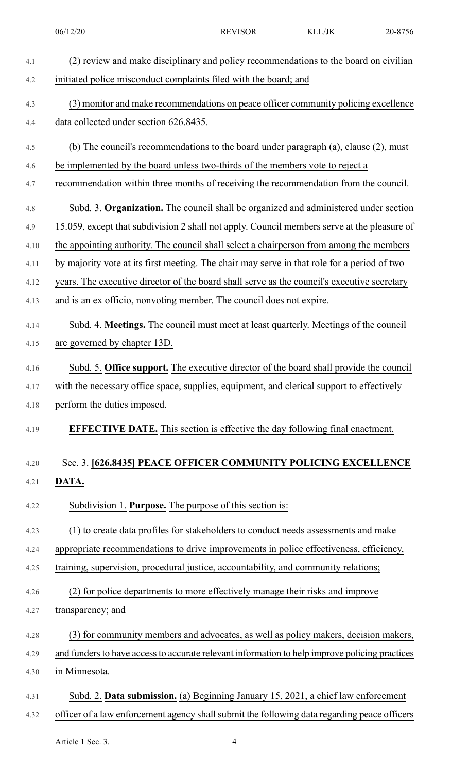| 4.1  | (2) review and make disciplinary and policy recommendations to the board on civilian           |
|------|------------------------------------------------------------------------------------------------|
| 4.2  | initiated police misconduct complaints filed with the board; and                               |
| 4.3  | (3) monitor and make recommendations on peace officer community policing excellence            |
| 4.4  | data collected under section 626.8435.                                                         |
| 4.5  | (b) The council's recommendations to the board under paragraph (a), clause (2), must           |
| 4.6  | be implemented by the board unless two-thirds of the members vote to reject a                  |
| 4.7  | recommendation within three months of receiving the recommendation from the council.           |
| 4.8  | Subd. 3. Organization. The council shall be organized and administered under section           |
| 4.9  | 15.059, except that subdivision 2 shall not apply. Council members serve at the pleasure of    |
| 4.10 | the appointing authority. The council shall select a chairperson from among the members        |
| 4.11 | by majority vote at its first meeting. The chair may serve in that role for a period of two    |
| 4.12 | years. The executive director of the board shall serve as the council's executive secretary    |
| 4.13 | and is an ex officio, nonvoting member. The council does not expire.                           |
| 4.14 | Subd. 4. Meetings. The council must meet at least quarterly. Meetings of the council           |
| 4.15 | are governed by chapter 13D.                                                                   |
| 4.16 | Subd. 5. Office support. The executive director of the board shall provide the council         |
| 4.17 | with the necessary office space, supplies, equipment, and clerical support to effectively      |
| 4.18 | perform the duties imposed.                                                                    |
| 4.19 | <b>EFFECTIVE DATE.</b> This section is effective the day following final enactment.            |
| 4.20 | Sec. 3. [626.8435] PEACE OFFICER COMMUNITY POLICING EXCELLENCE                                 |
| 4.21 | DATA.                                                                                          |
| 4.22 | Subdivision 1. Purpose. The purpose of this section is:                                        |
| 4.23 | (1) to create data profiles for stakeholders to conduct needs assessments and make             |
| 4.24 | appropriate recommendations to drive improvements in police effectiveness, efficiency,         |
| 4.25 | training, supervision, procedural justice, accountability, and community relations;            |
| 4.26 | (2) for police departments to more effectively manage their risks and improve                  |
| 4.27 | transparency; and                                                                              |
| 4.28 | (3) for community members and advocates, as well as policy makers, decision makers,            |
| 4.29 | and funders to have access to accurate relevant information to help improve policing practices |
| 4.30 | in Minnesota.                                                                                  |
| 4.31 | Subd. 2. Data submission. (a) Beginning January 15, 2021, a chief law enforcement              |
| 4.32 | officer of a law enforcement agency shall submit the following data regarding peace officers   |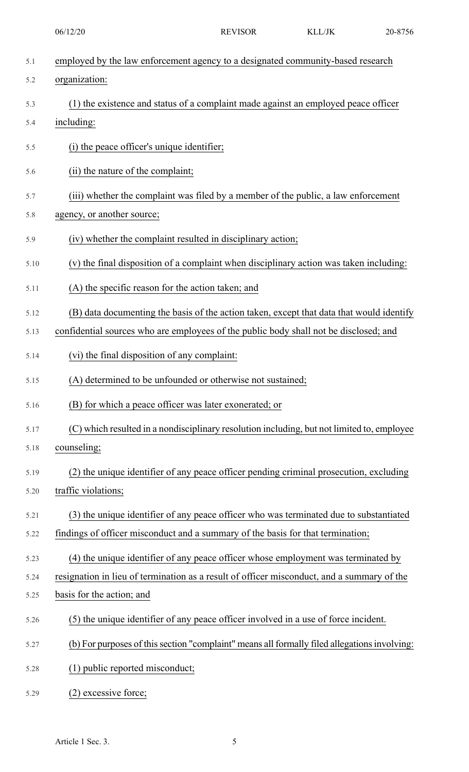|      | 06/12/20                                                                                     | <b>REVISOR</b> | KLL/JK | 20-8756 |
|------|----------------------------------------------------------------------------------------------|----------------|--------|---------|
| 5.1  | employed by the law enforcement agency to a designated community-based research              |                |        |         |
| 5.2  | organization:                                                                                |                |        |         |
| 5.3  | (1) the existence and status of a complaint made against an employed peace officer           |                |        |         |
| 5.4  | including:                                                                                   |                |        |         |
| 5.5  | (i) the peace officer's unique identifier;                                                   |                |        |         |
| 5.6  | (ii) the nature of the complaint;                                                            |                |        |         |
| 5.7  | (iii) whether the complaint was filed by a member of the public, a law enforcement           |                |        |         |
| 5.8  | agency, or another source;                                                                   |                |        |         |
| 5.9  | (iv) whether the complaint resulted in disciplinary action;                                  |                |        |         |
| 5.10 | (v) the final disposition of a complaint when disciplinary action was taken including:       |                |        |         |
| 5.11 | (A) the specific reason for the action taken; and                                            |                |        |         |
| 5.12 | (B) data documenting the basis of the action taken, except that data that would identify     |                |        |         |
| 5.13 | confidential sources who are employees of the public body shall not be disclosed; and        |                |        |         |
| 5.14 | (vi) the final disposition of any complaint:                                                 |                |        |         |
| 5.15 | (A) determined to be unfounded or otherwise not sustained;                                   |                |        |         |
| 5.16 | (B) for which a peace officer was later exonerated; or                                       |                |        |         |
| 5.17 | (C) which resulted in a nondisciplinary resolution including, but not limited to, employee   |                |        |         |
| 5.18 | counseling;                                                                                  |                |        |         |
| 5.19 | (2) the unique identifier of any peace officer pending criminal prosecution, excluding       |                |        |         |
| 5.20 | traffic violations;                                                                          |                |        |         |
| 5.21 | (3) the unique identifier of any peace officer who was terminated due to substantiated       |                |        |         |
| 5.22 | findings of officer misconduct and a summary of the basis for that termination;              |                |        |         |
| 5.23 | (4) the unique identifier of any peace officer whose employment was terminated by            |                |        |         |
| 5.24 | resignation in lieu of termination as a result of officer misconduct, and a summary of the   |                |        |         |
| 5.25 | basis for the action; and                                                                    |                |        |         |
| 5.26 | (5) the unique identifier of any peace officer involved in a use of force incident.          |                |        |         |
| 5.27 | (b) For purposes of this section "complaint" means all formally filed allegations involving: |                |        |         |
| 5.28 | (1) public reported misconduct;                                                              |                |        |         |
| 5.29 | (2) excessive force;                                                                         |                |        |         |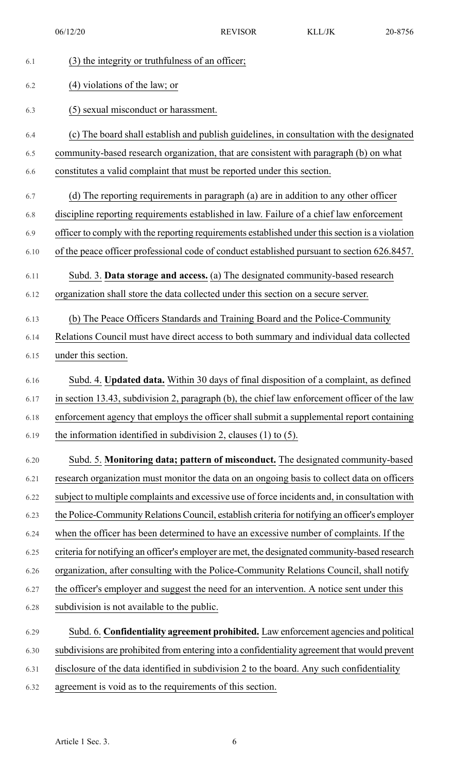06/12/20 REVISOR KLL/JK 20-8756

| 6.1  | (3) the integrity or truthfulness of an officer;                                                |
|------|-------------------------------------------------------------------------------------------------|
| 6.2  | $(4)$ violations of the law; or                                                                 |
| 6.3  | (5) sexual misconduct or harassment.                                                            |
| 6.4  | (c) The board shall establish and publish guidelines, in consultation with the designated       |
| 6.5  | community-based research organization, that are consistent with paragraph (b) on what           |
| 6.6  | constitutes a valid complaint that must be reported under this section.                         |
| 6.7  | (d) The reporting requirements in paragraph (a) are in addition to any other officer            |
| 6.8  | discipline reporting requirements established in law. Failure of a chief law enforcement        |
| 6.9  | officer to comply with the reporting requirements established under this section is a violation |
| 6.10 | of the peace officer professional code of conduct established pursuant to section 626.8457.     |
| 6.11 | Subd. 3. Data storage and access. (a) The designated community-based research                   |
| 6.12 | organization shall store the data collected under this section on a secure server.              |
| 6.13 | (b) The Peace Officers Standards and Training Board and the Police-Community                    |
| 6.14 | Relations Council must have direct access to both summary and individual data collected         |
| 6.15 | under this section.                                                                             |
| 6.16 | Subd. 4. Updated data. Within 30 days of final disposition of a complaint, as defined           |
| 6.17 | in section 13.43, subdivision 2, paragraph (b), the chief law enforcement officer of the law    |
| 6.18 | enforcement agency that employs the officer shall submit a supplemental report containing       |
| 6.19 | the information identified in subdivision 2, clauses $(1)$ to $(5)$ .                           |
| 6.20 | Subd. 5. Monitoring data; pattern of misconduct. The designated community-based                 |
| 6.21 | research organization must monitor the data on an ongoing basis to collect data on officers     |
| 6.22 | subject to multiple complaints and excessive use of force incidents and, in consultation with   |
| 6.23 | the Police-Community Relations Council, establish criteria for notifying an officer's employer  |
| 6.24 | when the officer has been determined to have an excessive number of complaints. If the          |
| 6.25 | criteria for notifying an officer's employer are met, the designated community-based research   |
| 6.26 | organization, after consulting with the Police-Community Relations Council, shall notify        |
| 6.27 | the officer's employer and suggest the need for an intervention. A notice sent under this       |
| 6.28 | subdivision is not available to the public.                                                     |
| 6.29 | Subd. 6. Confidentiality agreement prohibited. Law enforcement agencies and political           |
| 6.30 | subdivisions are prohibited from entering into a confidentiality agreement that would prevent   |
| 6.31 | disclosure of the data identified in subdivision 2 to the board. Any such confidentiality       |
| 6.32 | agreement is void as to the requirements of this section.                                       |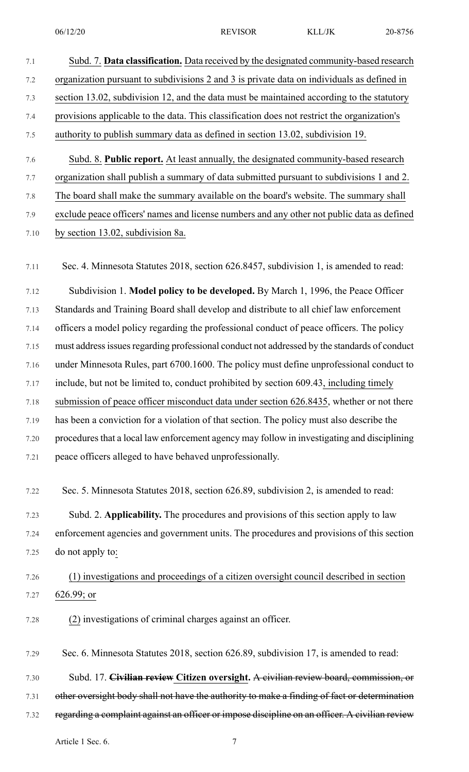| 7.1     | Subd. 7. Data classification. Data received by the designated community-based research         |
|---------|------------------------------------------------------------------------------------------------|
| 7.2     | organization pursuant to subdivisions 2 and 3 is private data on individuals as defined in     |
| 7.3     | section 13.02, subdivision 12, and the data must be maintained according to the statutory      |
| 7.4     | provisions applicable to the data. This classification does not restrict the organization's    |
| 7.5     | authority to publish summary data as defined in section 13.02, subdivision 19.                 |
| 7.6     | Subd. 8. Public report. At least annually, the designated community-based research             |
| 7.7     | organization shall publish a summary of data submitted pursuant to subdivisions 1 and 2.       |
| $7.8\,$ | The board shall make the summary available on the board's website. The summary shall           |
| 7.9     | exclude peace officers' names and license numbers and any other not public data as defined     |
| 7.10    | by section 13.02, subdivision 8a.                                                              |
| 7.11    | Sec. 4. Minnesota Statutes 2018, section 626.8457, subdivision 1, is amended to read:          |
| 7.12    | Subdivision 1. Model policy to be developed. By March 1, 1996, the Peace Officer               |
| 7.13    | Standards and Training Board shall develop and distribute to all chief law enforcement         |
| 7.14    | officers a model policy regarding the professional conduct of peace officers. The policy       |
| 7.15    | must address issues regarding professional conduct not addressed by the standards of conduct   |
| 7.16    | under Minnesota Rules, part 6700.1600. The policy must define unprofessional conduct to        |
| 7.17    | include, but not be limited to, conduct prohibited by section 609.43, including timely         |
| 7.18    | submission of peace officer misconduct data under section 626.8435, whether or not there       |
| 7.19    | has been a conviction for a violation of that section. The policy must also describe the       |
| 7.20    | procedures that a local law enforcement agency may follow in investigating and disciplining    |
| 7.21    | peace officers alleged to have behaved unprofessionally.                                       |
| 7.22    | Sec. 5. Minnesota Statutes 2018, section 626.89, subdivision 2, is amended to read:            |
| 7.23    | Subd. 2. Applicability. The procedures and provisions of this section apply to law             |
| 7.24    | enforcement agencies and government units. The procedures and provisions of this section       |
| 7.25    | do not apply to:                                                                               |
| 7.26    | (1) investigations and proceedings of a citizen oversight council described in section         |
| 7.27    | $626.99;$ or                                                                                   |
| 7.28    | (2) investigations of criminal charges against an officer.                                     |
| 7.29    | Sec. 6. Minnesota Statutes 2018, section 626.89, subdivision 17, is amended to read:           |
| 7.30    | Subd. 17. Civilian review Citizen oversight. A civilian review board, commission, or           |
| 7.31    | other oversight body shall not have the authority to make a finding of fact or determination   |
| 7.32    | regarding a complaint against an officer or impose discipline on an officer. A civilian review |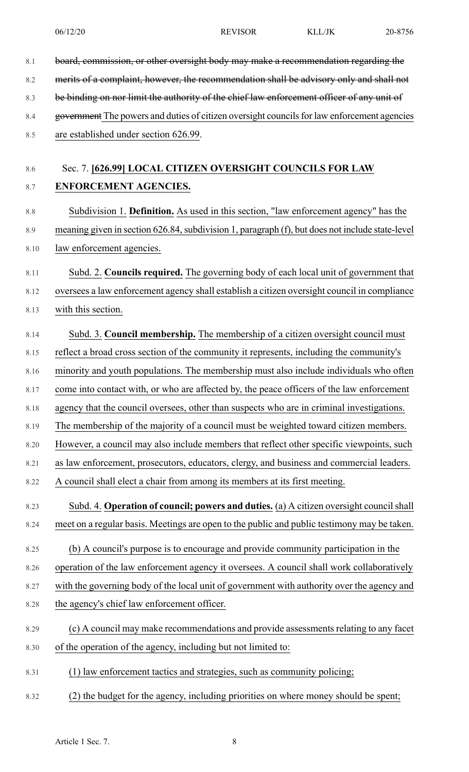8.1 board, commission, or other oversight body may make a recommendation regarding the 8.2 merits of a complaint, however, the recommendation shall be advisory only and shall not 8.3 be binding on nor limit the authority of the chief law enforcement officer of any unit of 8.4 government The powers and duties of citizen oversight councils for law enforcement agencies 8.6 Sec. 7. **[626.99] LOCAL CITIZEN OVERSIGHT COUNCILS FOR LAW**

$$
8.6\,
$$

# 8.7 **ENFORCEMENT AGENCIES.**

8.5 are established under section 626.99.

- 8.8 Subdivision 1. **Definition.** As used in this section, "law enforcement agency" has the 8.9 meaning given in section 626.84, subdivision 1, paragraph (f), but does not include state-level 8.10 law enforcement agencies.
- 8.11 Subd. 2. **Councils required.** The governing body of each local unit of government that 8.12 oversees a law enforcement agency shall establish a citizen oversight council in compliance
- 8.13 with this section.
- 8.14 Subd. 3. **Council membership.** The membership of a citizen oversight council must
- 8.15 reflect a broad cross section of the community it represents, including the community's
- 8.16 minority and youth populations. The membership must also include individuals who often
- 8.17 come into contact with, or who are affected by, the peace officers of the law enforcement
- 8.18 agency that the council oversees, other than suspects who are in criminal investigations.
- 8.19 The membership of the majority of a council must be weighted toward citizen members.
- 8.20 However, a council may also include members that reflect other specific viewpoints, such
- 8.21 as law enforcement, prosecutors, educators, clergy, and business and commercial leaders.
- 8.22 A council shall elect a chair from among its members at its first meeting.
- 8.23 Subd. 4. **Operation of council; powers and duties.** (a) A citizen oversight councilshall 8.24 meet on a regular basis. Meetings are open to the public and public testimony may be taken.
- 8.25 (b) A council's purpose is to encourage and provide community participation in the
- 8.26 operation of the law enforcement agency it oversees. A council shall work collaboratively
- 8.27 with the governing body of the local unit of government with authority over the agency and
- 8.28 the agency's chief law enforcement officer.
- 8.29 (c) A council may make recommendations and provide assessments relating to any facet 8.30 of the operation of the agency, including but not limited to:
- 8.31 (1) law enforcement tactics and strategies, such as community policing;
- 8.32 (2) the budget for the agency, including priorities on where money should be spent;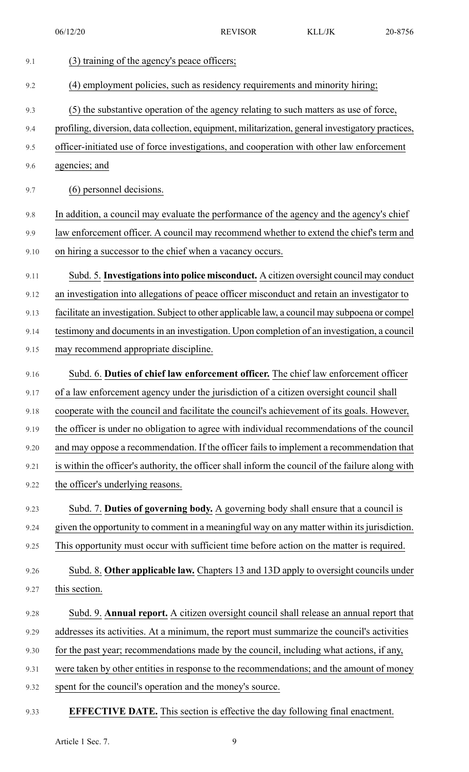06/12/20 REVISOR KLL/JK 20-8756

| 9.1  | (3) training of the agency's peace officers;                                                       |
|------|----------------------------------------------------------------------------------------------------|
| 9.2  | (4) employment policies, such as residency requirements and minority hiring;                       |
| 9.3  | (5) the substantive operation of the agency relating to such matters as use of force,              |
| 9.4  | profiling, diversion, data collection, equipment, militarization, general investigatory practices, |
| 9.5  | officer-initiated use of force investigations, and cooperation with other law enforcement          |
| 9.6  | agencies; and                                                                                      |
| 9.7  | (6) personnel decisions.                                                                           |
| 9.8  | In addition, a council may evaluate the performance of the agency and the agency's chief           |
| 9.9  | law enforcement officer. A council may recommend whether to extend the chief's term and            |
| 9.10 | on hiring a successor to the chief when a vacancy occurs.                                          |
| 9.11 | Subd. 5. Investigations into police misconduct. A citizen oversight council may conduct            |
| 9.12 | an investigation into allegations of peace officer misconduct and retain an investigator to        |
| 9.13 | facilitate an investigation. Subject to other applicable law, a council may subpoena or compel     |
| 9.14 | testimony and documents in an investigation. Upon completion of an investigation, a council        |
| 9.15 | may recommend appropriate discipline.                                                              |
| 9.16 | Subd. 6. Duties of chief law enforcement officer. The chief law enforcement officer                |
| 9.17 | of a law enforcement agency under the jurisdiction of a citizen oversight council shall            |
| 9.18 | cooperate with the council and facilitate the council's achievement of its goals. However,         |
| 9.19 | the officer is under no obligation to agree with individual recommendations of the council         |
| 9.20 | and may oppose a recommendation. If the officer fails to implement a recommendation that           |
| 9.21 | is within the officer's authority, the officer shall inform the council of the failure along with  |
| 9.22 | the officer's underlying reasons.                                                                  |
| 9.23 | Subd. 7. Duties of governing body. A governing body shall ensure that a council is                 |
| 9.24 | given the opportunity to comment in a meaningful way on any matter within its jurisdiction.        |
| 9.25 | This opportunity must occur with sufficient time before action on the matter is required.          |
| 9.26 | Subd. 8. Other applicable law. Chapters 13 and 13D apply to oversight councils under               |
| 9.27 | this section.                                                                                      |
| 9.28 | Subd. 9. Annual report. A citizen oversight council shall release an annual report that            |
| 9.29 | addresses its activities. At a minimum, the report must summarize the council's activities         |
| 9.30 | for the past year; recommendations made by the council, including what actions, if any,            |
| 9.31 | were taken by other entities in response to the recommendations; and the amount of money           |
| 9.32 | spent for the council's operation and the money's source.                                          |
| 9.33 | <b>EFFECTIVE DATE.</b> This section is effective the day following final enactment.                |

### Article 1 Sec. 7. 9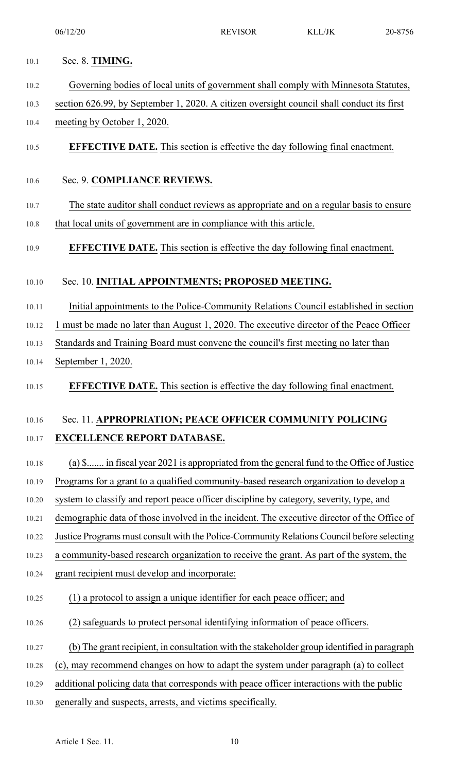| 10.1  | Sec. 8. TIMING.                                                                             |
|-------|---------------------------------------------------------------------------------------------|
| 10.2  | Governing bodies of local units of government shall comply with Minnesota Statutes,         |
| 10.3  | section 626.99, by September 1, 2020. A citizen oversight council shall conduct its first   |
| 10.4  | meeting by October 1, 2020.                                                                 |
| 10.5  | <b>EFFECTIVE DATE.</b> This section is effective the day following final enactment.         |
| 10.6  | Sec. 9. COMPLIANCE REVIEWS.                                                                 |
| 10.7  | The state auditor shall conduct reviews as appropriate and on a regular basis to ensure     |
| 10.8  | that local units of government are in compliance with this article.                         |
| 10.9  | <b>EFFECTIVE DATE.</b> This section is effective the day following final enactment.         |
| 10.10 | Sec. 10. INITIAL APPOINTMENTS; PROPOSED MEETING.                                            |
| 10.11 | Initial appointments to the Police-Community Relations Council established in section       |
| 10.12 | 1 must be made no later than August 1, 2020. The executive director of the Peace Officer    |
| 10.13 | Standards and Training Board must convene the council's first meeting no later than         |
| 10.14 | September 1, 2020.                                                                          |
| 10.15 | <b>EFFECTIVE DATE.</b> This section is effective the day following final enactment.         |
| 10.16 | Sec. 11. APPROPRIATION; PEACE OFFICER COMMUNITY POLICING                                    |
| 10.17 | EXCELLENCE REPORT DATABASE.                                                                 |
| 10.18 | (a) \$ in fiscal year 2021 is appropriated from the general fund to the Office of Justice   |
| 10.19 | Programs for a grant to a qualified community-based research organization to develop a      |
| 10.20 | system to classify and report peace officer discipline by category, severity, type, and     |
| 10.21 | demographic data of those involved in the incident. The executive director of the Office of |
| 10.22 | Justice Programs must consult with the Police-Community Relations Council before selecting  |
| 10.23 | a community-based research organization to receive the grant. As part of the system, the    |
| 10.24 | grant recipient must develop and incorporate:                                               |
| 10.25 | (1) a protocol to assign a unique identifier for each peace officer; and                    |
| 10.26 | (2) safeguards to protect personal identifying information of peace officers.               |
| 10.27 | (b) The grant recipient, in consultation with the stakeholder group identified in paragraph |
| 10.28 | (c), may recommend changes on how to adapt the system under paragraph (a) to collect        |
| 10.29 | additional policing data that corresponds with peace officer interactions with the public   |
| 10.30 | generally and suspects, arrests, and victims specifically.                                  |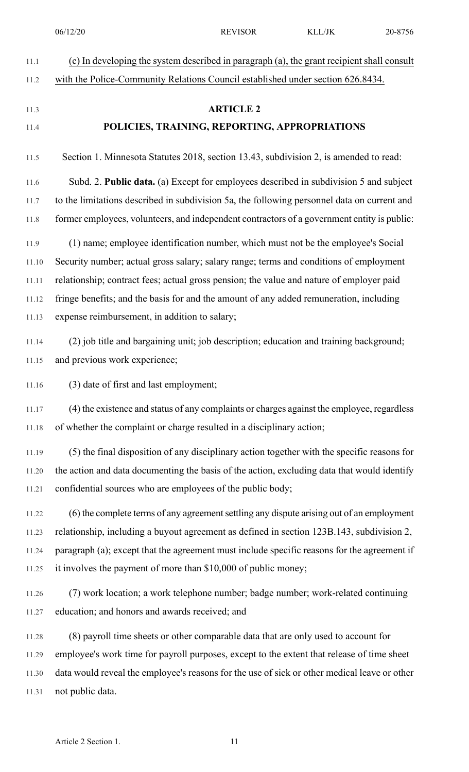11.1 (c) In developing the system described in paragraph (a), the grant recipient shall consult 11.2 with the Police-Community Relations Council established under section 626.8434. 11.3 **ARTICLE 2** 11.4 **POLICIES, TRAINING, REPORTING, APPROPRIATIONS** 11.5 Section 1. Minnesota Statutes 2018, section 13.43, subdivision 2, is amended to read: 11.6 Subd. 2. **Public data.** (a) Except for employees described in subdivision 5 and subject 11.7 to the limitations described in subdivision 5a, the following personnel data on current and 11.8 former employees, volunteers, and independent contractors of a government entity is public: 11.9 (1) name; employee identification number, which must not be the employee's Social 11.10 Security number; actual gross salary; salary range; terms and conditions of employment 11.11 relationship; contract fees; actual gross pension; the value and nature of employer paid 11.12 fringe benefits; and the basis for and the amount of any added remuneration, including 11.13 expense reimbursement, in addition to salary; 11.14 (2) job title and bargaining unit; job description; education and training background; 11.15 and previous work experience; 11.16 (3) date of first and last employment; 11.17 (4) the existence and status of any complaints or charges against the employee, regardless 11.18 of whether the complaint or charge resulted in a disciplinary action; 11.19 (5) the final disposition of any disciplinary action together with the specific reasons for 11.20 the action and data documenting the basis of the action, excluding data that would identify 11.21 confidential sources who are employees of the public body; 11.22 (6) the complete terms of any agreement settling any dispute arising out of an employment 11.23 relationship, including a buyout agreement as defined in section 123B.143, subdivision 2, 11.24 paragraph (a); except that the agreement must include specific reasons for the agreement if 11.25 it involves the payment of more than \$10,000 of public money; 11.26 (7) work location; a work telephone number; badge number; work-related continuing 11.27 education; and honors and awards received; and 11.28 (8) payroll time sheets or other comparable data that are only used to account for 11.29 employee's work time for payroll purposes, except to the extent that release of time sheet 11.30 data would reveal the employee's reasons for the use of sick or other medical leave or other 11.31 not public data.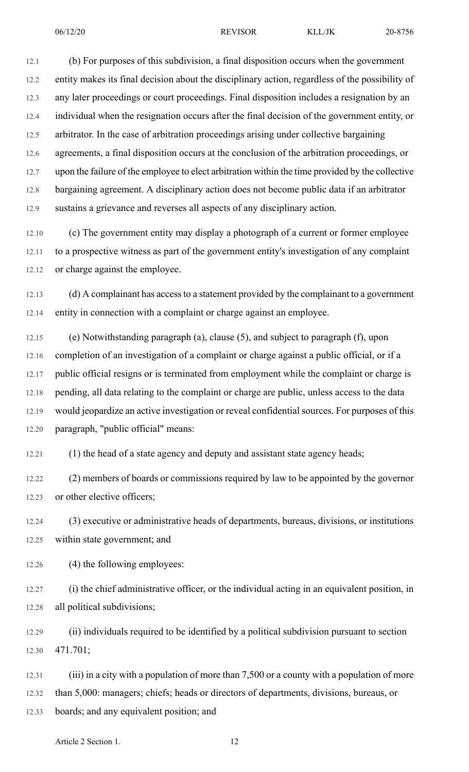12.1 (b) For purposes of this subdivision, a final disposition occurs when the government 12.2 entity makes its final decision about the disciplinary action, regardless of the possibility of 12.3 any later proceedings or court proceedings. Final disposition includes a resignation by an 12.4 individual when the resignation occurs after the final decision of the government entity, or 12.5 arbitrator. In the case of arbitration proceedings arising under collective bargaining 12.6 agreements, a final disposition occurs at the conclusion of the arbitration proceedings, or 12.7 upon the failure of the employee to elect arbitration within the time provided by the collective 12.8 bargaining agreement. A disciplinary action does not become public data if an arbitrator 12.9 sustains a grievance and reverses all aspects of any disciplinary action.

12.10 (c) The government entity may display a photograph of a current or former employee 12.11 to a prospective witness as part of the government entity's investigation of any complaint 12.12 or charge against the employee.

12.13 (d) A complainant has accessto a statement provided by the complainant to a government 12.14 entity in connection with a complaint or charge against an employee.

12.15 (e) Notwithstanding paragraph (a), clause (5), and subject to paragraph (f), upon 12.16 completion of an investigation of a complaint or charge against a public official, or if a 12.17 public official resigns or is terminated from employment while the complaint or charge is 12.18 pending, all data relating to the complaint or charge are public, unless access to the data 12.19 would jeopardize an active investigation or reveal confidential sources. For purposes of this 12.20 paragraph, "public official" means:

12.21 (1) the head of a state agency and deputy and assistant state agency heads;

12.22 (2) members of boards or commissions required by law to be appointed by the governor 12.23 or other elective officers;

12.24 (3) executive or administrative heads of departments, bureaus, divisions, or institutions 12.25 within state government; and

12.26 (4) the following employees:

12.27 (i) the chief administrative officer, or the individual acting in an equivalent position, in 12.28 all political subdivisions;

12.29 (ii) individuals required to be identified by a political subdivision pursuant to section 12.30 471.701;

12.31 (iii) in a city with a population of more than 7,500 or a county with a population of more 12.32 than 5,000: managers; chiefs; heads or directors of departments, divisions, bureaus, or 12.33 boards; and any equivalent position; and

Article 2 Section 1. 12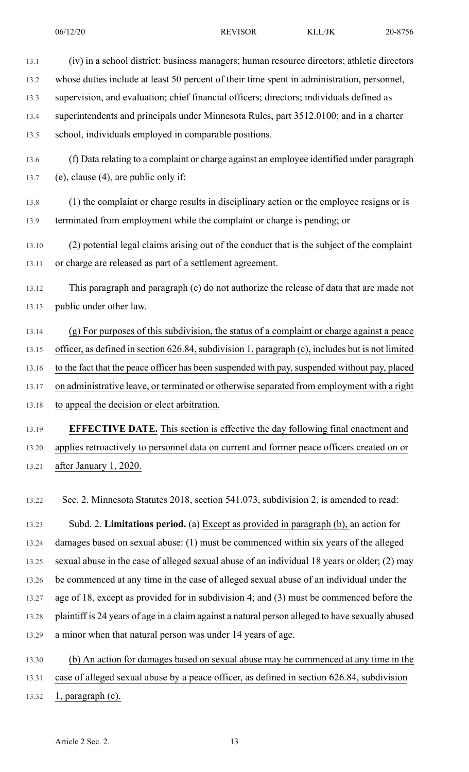13.1 (iv) in a school district: business managers; human resource directors; athletic directors 13.2 whose duties include at least 50 percent of their time spent in administration, personnel, 13.3 supervision, and evaluation; chief financial officers; directors; individuals defined as 13.4 superintendents and principals under Minnesota Rules, part 3512.0100; and in a charter 13.5 school, individuals employed in comparable positions. 13.6 (f) Data relating to a complaint or charge against an employee identified under paragraph 13.7 (e), clause (4), are public only if: 13.8 (1) the complaint or charge results in disciplinary action or the employee resigns or is 13.9 terminated from employment while the complaint or charge is pending; or 13.10 (2) potential legal claims arising out of the conduct that is the subject of the complaint 13.11 or charge are released as part of a settlement agreement. 13.12 This paragraph and paragraph (e) do not authorize the release of data that are made not 13.13 public under other law.

13.14 (g) For purposes of this subdivision, the status of a complaint or charge against a peace 13.15 officer, as defined in section 626.84, subdivision 1, paragraph (c), includes but is not limited 13.16 to the fact that the peace officer has been suspended with pay, suspended without pay, placed 13.17 on administrative leave, or terminated or otherwise separated from employment with a right 13.18 to appeal the decision or elect arbitration.

13.19 **EFFECTIVE DATE.** This section is effective the day following final enactment and 13.20 applies retroactively to personnel data on current and former peace officers created on or 13.21 after January 1, 2020.

13.22 Sec. 2. Minnesota Statutes 2018, section 541.073, subdivision 2, is amended to read:

13.23 Subd. 2. **Limitations period.** (a) Except as provided in paragraph (b), an action for 13.24 damages based on sexual abuse: (1) must be commenced within six years of the alleged 13.25 sexual abuse in the case of alleged sexual abuse of an individual 18 years or older; (2) may 13.26 be commenced at any time in the case of alleged sexual abuse of an individual under the 13.27 age of 18, except as provided for in subdivision 4; and (3) must be commenced before the 13.28 plaintiff is 24 years of age in a claim against a natural person alleged to have sexually abused 13.29 a minor when that natural person was under 14 years of age.

13.30 (b) An action for damages based on sexual abuse may be commenced at any time in the 13.31 case of alleged sexual abuse by a peace officer, as defined in section 626.84, subdivision 13.32 1, paragraph (c).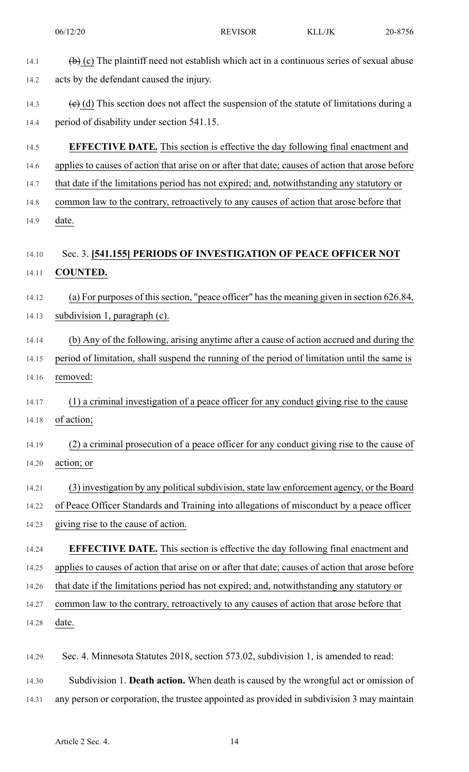|       | 06/12/20                                                                                                         | <b>REVISOR</b> | KLL/JK | 20-8756 |
|-------|------------------------------------------------------------------------------------------------------------------|----------------|--------|---------|
| 14.1  | $\left(\frac{b}{c}\right)$ (c) The plaintiff need not establish which act in a continuous series of sexual abuse |                |        |         |
| 14.2  | acts by the defendant caused the injury.                                                                         |                |        |         |
| 14.3  | $\overline{e}$ (d) This section does not affect the suspension of the statute of limitations during a            |                |        |         |
| 14.4  | period of disability under section 541.15.                                                                       |                |        |         |
| 14.5  | <b>EFFECTIVE DATE.</b> This section is effective the day following final enactment and                           |                |        |         |
| 14.6  | applies to causes of action that arise on or after that date; causes of action that arose before                 |                |        |         |
| 14.7  | that date if the limitations period has not expired; and, notwithstanding any statutory or                       |                |        |         |
| 14.8  | common law to the contrary, retroactively to any causes of action that arose before that                         |                |        |         |
| 14.9  | date.                                                                                                            |                |        |         |
|       | Sec. 3. [541.155] PERIODS OF INVESTIGATION OF PEACE OFFICER NOT                                                  |                |        |         |
| 14.10 |                                                                                                                  |                |        |         |
| 14.11 | <b>COUNTED.</b>                                                                                                  |                |        |         |
| 14.12 | (a) For purposes of this section, "peace officer" has the meaning given in section 626.84,                       |                |        |         |
| 14.13 | subdivision 1, paragraph (c).                                                                                    |                |        |         |
| 14.14 | (b) Any of the following, arising anytime after a cause of action accrued and during the                         |                |        |         |
| 14.15 | period of limitation, shall suspend the running of the period of limitation until the same is                    |                |        |         |
| 14.16 | removed:                                                                                                         |                |        |         |
| 14.17 | (1) a criminal investigation of a peace officer for any conduct giving rise to the cause                         |                |        |         |
| 14.18 | of action;                                                                                                       |                |        |         |
| 14.19 | (2) a criminal prosecution of a peace officer for any conduct giving rise to the cause of                        |                |        |         |
| 14.20 | action; or                                                                                                       |                |        |         |
| 14.21 | (3) investigation by any political subdivision, state law enforcement agency, or the Board                       |                |        |         |
| 14.22 | of Peace Officer Standards and Training into allegations of misconduct by a peace officer                        |                |        |         |
| 14.23 | giving rise to the cause of action.                                                                              |                |        |         |
| 14.24 | <b>EFFECTIVE DATE.</b> This section is effective the day following final enactment and                           |                |        |         |
| 14.25 | applies to causes of action that arise on or after that date; causes of action that arose before                 |                |        |         |
| 14.26 | that date if the limitations period has not expired; and, notwithstanding any statutory or                       |                |        |         |
| 14.27 | common law to the contrary, retroactively to any causes of action that arose before that                         |                |        |         |
| 14.28 | date.                                                                                                            |                |        |         |
| 14.29 | Sec. 4. Minnesota Statutes 2018, section 573.02, subdivision 1, is amended to read:                              |                |        |         |
| 14.30 | Subdivision 1. Death action. When death is caused by the wrongful act or omission of                             |                |        |         |

14.31 any person or corporation, the trustee appointed as provided in subdivision 3 may maintain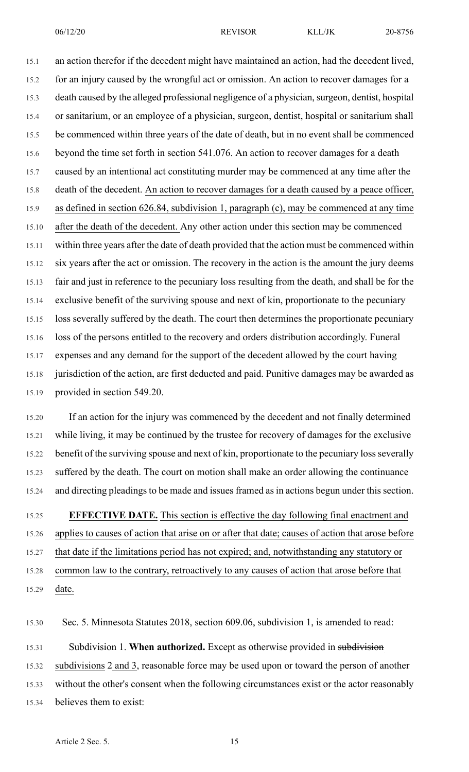06/12/20 REVISOR KLL/JK 20-8756

15.1 an action therefor if the decedent might have maintained an action, had the decedent lived, 15.2 for an injury caused by the wrongful act or omission. An action to recover damages for a 15.3 death caused by the alleged professional negligence of a physician, surgeon, dentist, hospital 15.4 or sanitarium, or an employee of a physician, surgeon, dentist, hospital or sanitarium shall 15.5 be commenced within three years of the date of death, but in no event shall be commenced 15.6 beyond the time set forth in section 541.076. An action to recover damages for a death 15.7 caused by an intentional act constituting murder may be commenced at any time after the 15.8 death of the decedent. An action to recover damages for a death caused by a peace officer, 15.9 as defined in section 626.84, subdivision 1, paragraph (c), may be commenced at any time 15.10 after the death of the decedent. Any other action under this section may be commenced 15.11 within three years after the date of death provided that the action must be commenced within 15.12 six years after the act or omission. The recovery in the action is the amount the jury deems 15.13 fair and just in reference to the pecuniary loss resulting from the death, and shall be for the 15.14 exclusive benefit of the surviving spouse and next of kin, proportionate to the pecuniary 15.15 loss severally suffered by the death. The court then determines the proportionate pecuniary 15.16 loss of the persons entitled to the recovery and orders distribution accordingly. Funeral 15.17 expenses and any demand for the support of the decedent allowed by the court having 15.18 jurisdiction of the action, are first deducted and paid. Punitive damages may be awarded as 15.19 provided in section 549.20.

15.20 If an action for the injury was commenced by the decedent and not finally determined 15.21 while living, it may be continued by the trustee for recovery of damages for the exclusive 15.22 benefit of the surviving spouse and next of kin, proportionate to the pecuniary loss severally 15.23 suffered by the death. The court on motion shall make an order allowing the continuance 15.24 and directing pleadings to be made and issues framed as in actions begun under this section.

15.25 **EFFECTIVE DATE.** This section is effective the day following final enactment and 15.26 applies to causes of action that arise on or after that date; causes of action that arose before 15.27 that date if the limitations period has not expired; and, notwithstanding any statutory or 15.28 common law to the contrary, retroactively to any causes of action that arose before that 15.29 date.

15.30 Sec. 5. Minnesota Statutes 2018, section 609.06, subdivision 1, is amended to read: 15.31 Subdivision 1. **When authorized.** Except as otherwise provided in subdivision 15.32 subdivisions 2 and 3, reasonable force may be used upon or toward the person of another 15.33 without the other's consent when the following circumstances exist or the actor reasonably 15.34 believes them to exist: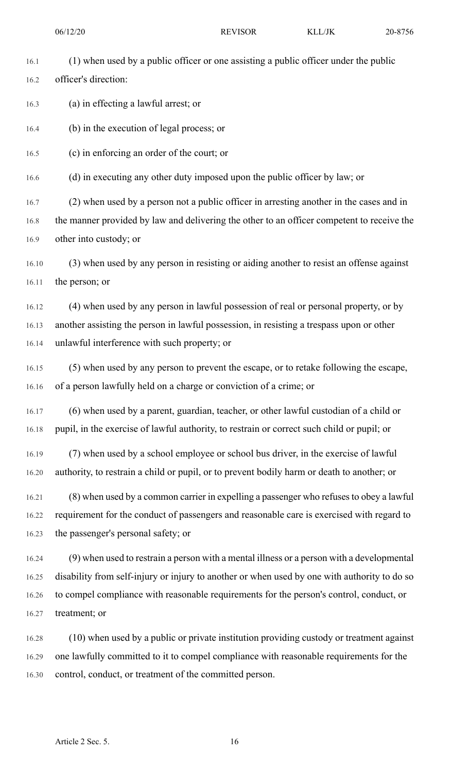| 16.1  | (1) when used by a public officer or one assisting a public officer under the public         |
|-------|----------------------------------------------------------------------------------------------|
| 16.2  | officer's direction:                                                                         |
| 16.3  | (a) in effecting a lawful arrest; or                                                         |
| 16.4  | (b) in the execution of legal process; or                                                    |
| 16.5  | (c) in enforcing an order of the court; or                                                   |
| 16.6  | (d) in executing any other duty imposed upon the public officer by law; or                   |
| 16.7  | (2) when used by a person not a public officer in arresting another in the cases and in      |
| 16.8  | the manner provided by law and delivering the other to an officer competent to receive the   |
| 16.9  | other into custody; or                                                                       |
| 16.10 | (3) when used by any person in resisting or aiding another to resist an offense against      |
| 16.11 | the person; or                                                                               |
| 16.12 | (4) when used by any person in lawful possession of real or personal property, or by         |
| 16.13 | another assisting the person in lawful possession, in resisting a trespass upon or other     |
| 16.14 | unlawful interference with such property; or                                                 |
| 16.15 | (5) when used by any person to prevent the escape, or to retake following the escape,        |
| 16.16 | of a person lawfully held on a charge or conviction of a crime; or                           |
| 16.17 | (6) when used by a parent, guardian, teacher, or other lawful custodian of a child or        |
| 16.18 | pupil, in the exercise of lawful authority, to restrain or correct such child or pupil; or   |
| 16.19 | (7) when used by a school employee or school bus driver, in the exercise of lawful           |
| 16.20 | authority, to restrain a child or pupil, or to prevent bodily harm or death to another; or   |
| 16.21 | (8) when used by a common carrier in expelling a passenger who refuses to obey a lawful      |
| 16.22 | requirement for the conduct of passengers and reasonable care is exercised with regard to    |
| 16.23 | the passenger's personal safety; or                                                          |
| 16.24 | (9) when used to restrain a person with a mental illness or a person with a developmental    |
| 16.25 | disability from self-injury or injury to another or when used by one with authority to do so |
| 16.26 | to compel compliance with reasonable requirements for the person's control, conduct, or      |
| 16.27 | treatment; or                                                                                |
| 16.28 | (10) when used by a public or private institution providing custody or treatment against     |
| 16.29 | one lawfully committed to it to compel compliance with reasonable requirements for the       |
| 16.30 | control, conduct, or treatment of the committed person.                                      |
|       |                                                                                              |
|       |                                                                                              |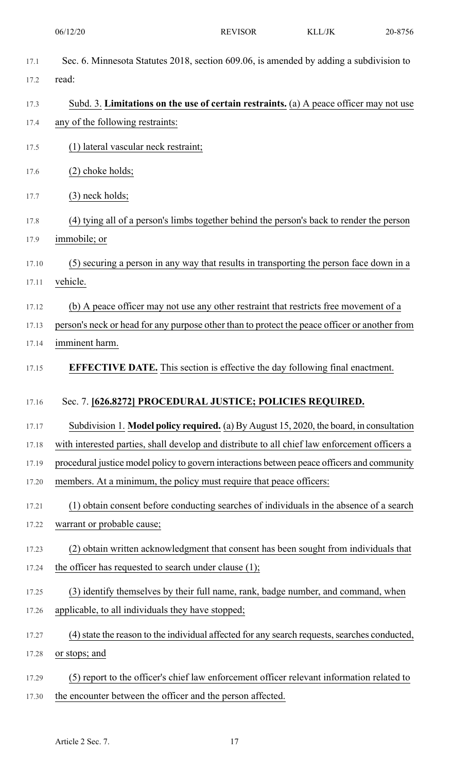| 17.1 | Sec. 6. Minnesota Statutes 2018, section 609.06, is amended by adding a subdivision to |  |
|------|----------------------------------------------------------------------------------------|--|
|      |                                                                                        |  |

17.2 read:

17.3 Subd. 3. **Limitations on the use of certain restraints.** (a) A peace officer may not use 17.4 any of the following restraints:

- 17.5 (1) lateral vascular neck restraint;
- 17.6 (2) choke holds;
- 17.7 (3) neck holds;
- 17.8 (4) tying all of a person's limbs together behind the person's back to render the person 17.9 immobile; or
- 17.10 (5) securing a person in any way that results in transporting the person face down in a 17.11 vehicle.
- 17.12 (b) A peace officer may not use any other restraint that restricts free movement of a
- 17.13 person's neck or head for any purpose other than to protect the peace officer or another from
- 17.14 imminent harm.
- 17.15 **EFFECTIVE DATE.** This section is effective the day following final enactment.

## 17.16 Sec. 7. **[626.8272] PROCEDURAL JUSTICE; POLICIES REQUIRED.**

17.17 Subdivision 1. **Model policy required.** (a) By August 15, 2020, the board, in consultation

17.18 with interested parties, shall develop and distribute to all chief law enforcement officers a

17.19 procedural justice model policy to govern interactions between peace officers and community

- 17.20 members. At a minimum, the policy must require that peace officers:
- 17.21 (1) obtain consent before conducting searches of individuals in the absence of a search 17.22 warrant or probable cause;
- 17.23 (2) obtain written acknowledgment that consent has been sought from individuals that
- 17.24 the officer has requested to search under clause (1);
- 17.25 (3) identify themselves by their full name, rank, badge number, and command, when 17.26 applicable, to all individuals they have stopped;
- 17.27 (4) state the reason to the individual affected for any search requests, searches conducted, 17.28 or stops; and
- 17.29 (5) report to the officer's chief law enforcement officer relevant information related to 17.30 the encounter between the officer and the person affected.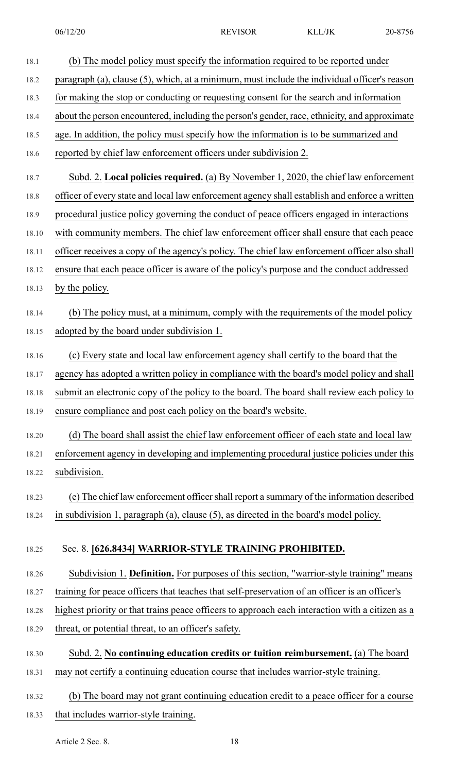| 18.1  | (b) The model policy must specify the information required to be reported under                 |
|-------|-------------------------------------------------------------------------------------------------|
| 18.2  | paragraph (a), clause (5), which, at a minimum, must include the individual officer's reason    |
| 18.3  | for making the stop or conducting or requesting consent for the search and information          |
| 18.4  | about the person encountered, including the person's gender, race, ethnicity, and approximate   |
| 18.5  | age. In addition, the policy must specify how the information is to be summarized and           |
| 18.6  | reported by chief law enforcement officers under subdivision 2.                                 |
| 18.7  | Subd. 2. Local policies required. (a) By November 1, 2020, the chief law enforcement            |
| 18.8  | officer of every state and local law enforcement agency shall establish and enforce a written   |
| 18.9  | procedural justice policy governing the conduct of peace officers engaged in interactions       |
| 18.10 | with community members. The chief law enforcement officer shall ensure that each peace          |
| 18.11 | officer receives a copy of the agency's policy. The chief law enforcement officer also shall    |
| 18.12 | ensure that each peace officer is aware of the policy's purpose and the conduct addressed       |
| 18.13 | by the policy.                                                                                  |
| 18.14 | (b) The policy must, at a minimum, comply with the requirements of the model policy             |
| 18.15 | adopted by the board under subdivision 1.                                                       |
| 18.16 | (c) Every state and local law enforcement agency shall certify to the board that the            |
| 18.17 | agency has adopted a written policy in compliance with the board's model policy and shall       |
| 18.18 | submit an electronic copy of the policy to the board. The board shall review each policy to     |
| 18.19 | ensure compliance and post each policy on the board's website.                                  |
| 18.20 | (d) The board shall assist the chief law enforcement officer of each state and local law        |
| 18.21 | enforcement agency in developing and implementing procedural justice policies under this        |
| 18.22 | subdivision.                                                                                    |
| 18.23 | (e) The chief law enforcement officer shall report a summary of the information described       |
| 18.24 | in subdivision 1, paragraph (a), clause (5), as directed in the board's model policy.           |
| 18.25 | Sec. 8. [626.8434] WARRIOR-STYLE TRAINING PROHIBITED.                                           |
| 18.26 | Subdivision 1. Definition. For purposes of this section, "warrior-style training" means         |
| 18.27 | training for peace officers that teaches that self-preservation of an officer is an officer's   |
| 18.28 | highest priority or that trains peace officers to approach each interaction with a citizen as a |
| 18.29 | threat, or potential threat, to an officer's safety.                                            |
| 18.30 | Subd. 2. No continuing education credits or tuition reimbursement. (a) The board                |
| 18.31 | may not certify a continuing education course that includes warrior-style training.             |
| 18.32 | (b) The board may not grant continuing education credit to a peace officer for a course         |
| 18.33 | that includes warrior-style training.                                                           |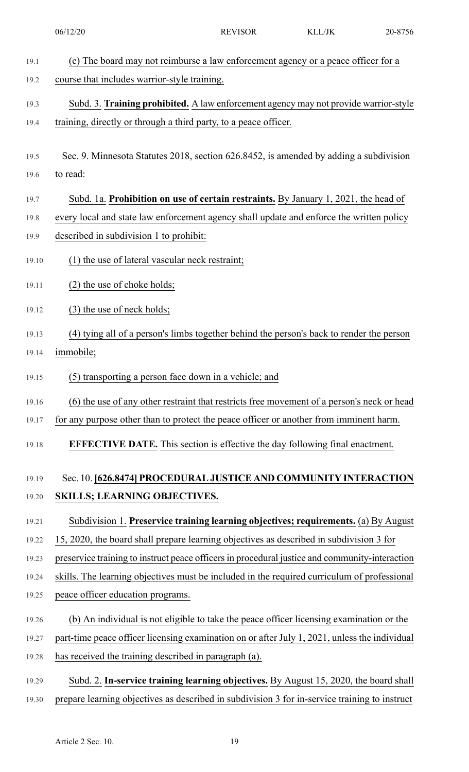| 19.1  | (c) The board may not reimburse a law enforcement agency or a peace officer for a              |
|-------|------------------------------------------------------------------------------------------------|
| 19.2  | course that includes warrior-style training.                                                   |
| 19.3  | Subd. 3. Training prohibited. A law enforcement agency may not provide warrior-style           |
| 19.4  | training, directly or through a third party, to a peace officer.                               |
|       |                                                                                                |
| 19.5  | Sec. 9. Minnesota Statutes 2018, section 626.8452, is amended by adding a subdivision          |
| 19.6  | to read:                                                                                       |
| 19.7  | Subd. 1a. Prohibition on use of certain restraints. By January 1, 2021, the head of            |
| 19.8  | every local and state law enforcement agency shall update and enforce the written policy       |
| 19.9  | described in subdivision 1 to prohibit:                                                        |
| 19.10 | (1) the use of lateral vascular neck restraint;                                                |
| 19.11 | (2) the use of choke holds;                                                                    |
| 19.12 | (3) the use of neck holds;                                                                     |
| 19.13 | (4) tying all of a person's limbs together behind the person's back to render the person       |
| 19.14 | immobile;                                                                                      |
| 19.15 | (5) transporting a person face down in a vehicle; and                                          |
| 19.16 | (6) the use of any other restraint that restricts free movement of a person's neck or head     |
| 19.17 | for any purpose other than to protect the peace officer or another from imminent harm.         |
| 19.18 | <b>EFFECTIVE DATE.</b> This section is effective the day following final enactment.            |
| 19.19 | Sec. 10. [626.8474] PROCEDURAL JUSTICE AND COMMUNITY INTERACTION                               |
| 19.20 | <b>SKILLS; LEARNING OBJECTIVES.</b>                                                            |
| 19.21 | Subdivision 1. Preservice training learning objectives; requirements. (a) By August            |
| 19.22 | 15, 2020, the board shall prepare learning objectives as described in subdivision 3 for        |
| 19.23 | preservice training to instruct peace officers in procedural justice and community-interaction |
| 19.24 | skills. The learning objectives must be included in the required curriculum of professional    |
| 19.25 | peace officer education programs.                                                              |
| 19.26 | (b) An individual is not eligible to take the peace officer licensing examination or the       |
| 19.27 | part-time peace officer licensing examination on or after July 1, 2021, unless the individual  |
| 19.28 | has received the training described in paragraph (a).                                          |
| 19.29 | Subd. 2. In-service training learning objectives. By August 15, 2020, the board shall          |
| 19.30 | prepare learning objectives as described in subdivision 3 for in-service training to instruct  |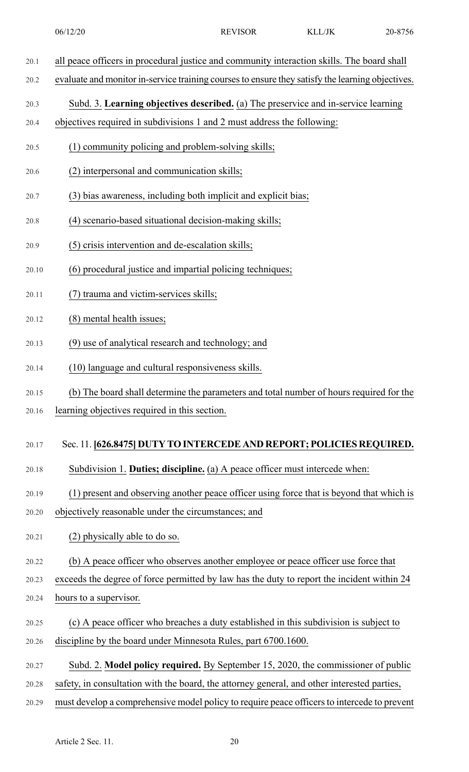- 20.1 all peace officers in procedural justice and community interaction skills. The board shall
- 20.2 evaluate and monitor in-service training coursesto ensure they satisfy the learning objectives.
- 20.3 Subd. 3. **Learning objectives described.** (a) The preservice and in-service learning
- 20.4 objectives required in subdivisions 1 and 2 must address the following:
- 20.5 (1) community policing and problem-solving skills;
- 20.6 (2) interpersonal and communication skills;
- 20.7 (3) bias awareness, including both implicit and explicit bias;
- 20.8 (4) scenario-based situational decision-making skills;
- 20.9 (5) crisis intervention and de-escalation skills;
- 20.10 (6) procedural justice and impartial policing techniques;
- 20.11 (7) trauma and victim-services skills;
- 20.12 (8) mental health issues;
- 20.13 (9) use of analytical research and technology; and
- 20.14 (10) language and cultural responsiveness skills.
- 20.15 (b) The board shall determine the parameters and total number of hours required for the
- 20.16 learning objectives required in this section.

# 20.17 Sec. 11.**[626.8475] DUTY TO INTERCEDE AND REPORT; POLICIES REQUIRED.**

- 20.18 Subdivision 1. **Duties; discipline.** (a) A peace officer must intercede when:
- 20.19 (1) present and observing another peace officer using force that is beyond that which is
- 20.20 objectively reasonable under the circumstances; and
- 20.21 (2) physically able to do so.
- 20.22 (b) A peace officer who observes another employee or peace officer use force that

20.23 exceeds the degree of force permitted by law has the duty to report the incident within 24

- 20.24 hours to a supervisor.
- 20.25 (c) A peace officer who breaches a duty established in this subdivision is subject to
- 20.26 discipline by the board under Minnesota Rules, part 6700.1600.
- 20.27 Subd. 2. **Model policy required.** By September 15, 2020, the commissioner of public
- 20.28 safety, in consultation with the board, the attorney general, and other interested parties,
- 20.29 must develop a comprehensive model policy to require peace officersto intercede to prevent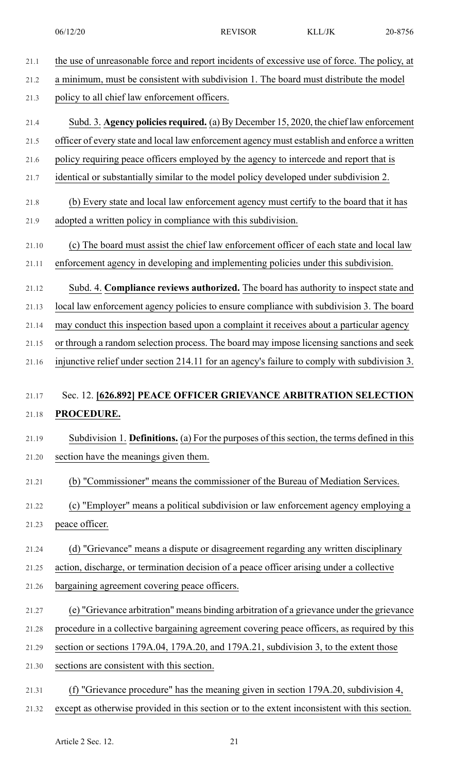- 21.1 the use of unreasonable force and report incidents of excessive use of force. The policy, at 21.2 a minimum, must be consistent with subdivision 1. The board must distribute the model 21.3 policy to all chief law enforcement officers. 21.4 Subd. 3. **Agency policies required.** (a) By December 15, 2020, the chief law enforcement 21.5 officer of every state and local law enforcement agency must establish and enforce a written 21.6 policy requiring peace officers employed by the agency to intercede and report that is 21.7 identical or substantially similar to the model policy developed under subdivision 2. 21.8 (b) Every state and local law enforcement agency must certify to the board that it has 21.9 adopted a written policy in compliance with this subdivision. 21.10 (c) The board must assist the chief law enforcement officer of each state and local law 21.11 enforcement agency in developing and implementing policies under this subdivision. 21.12 Subd. 4. **Compliance reviews authorized.** The board has authority to inspect state and 21.13 local law enforcement agency policies to ensure compliance with subdivision 3. The board 21.14 may conduct this inspection based upon a complaint it receives about a particular agency 21.15 or through a random selection process. The board may impose licensing sanctions and seek 21.16 injunctive relief under section 214.11 for an agency's failure to comply with subdivision 3. 21.17 Sec. 12. **[626.892] PEACE OFFICER GRIEVANCE ARBITRATION SELECTION** 21.18 **PROCEDURE.** 21.19 Subdivision 1. **Definitions.** (a) For the purposes of this section, the terms defined in this 21.20 section have the meanings given them. 21.21 (b) "Commissioner" means the commissioner of the Bureau of Mediation Services. 21.22 (c) "Employer" means a political subdivision or law enforcement agency employing a 21.23 peace officer. 21.24 (d) "Grievance" means a dispute or disagreement regarding any written disciplinary 21.25 action, discharge, or termination decision of a peace officer arising under a collective 21.26 bargaining agreement covering peace officers. 21.27 (e) "Grievance arbitration" means binding arbitration of a grievance under the grievance 21.28 procedure in a collective bargaining agreement covering peace officers, as required by this 21.29 section or sections 179A.04, 179A.20, and 179A.21, subdivision 3, to the extent those 21.30 sections are consistent with this section. 21.31 (f) "Grievance procedure" has the meaning given in section 179A.20, subdivision 4,
- 21.32 except as otherwise provided in this section or to the extent inconsistent with this section.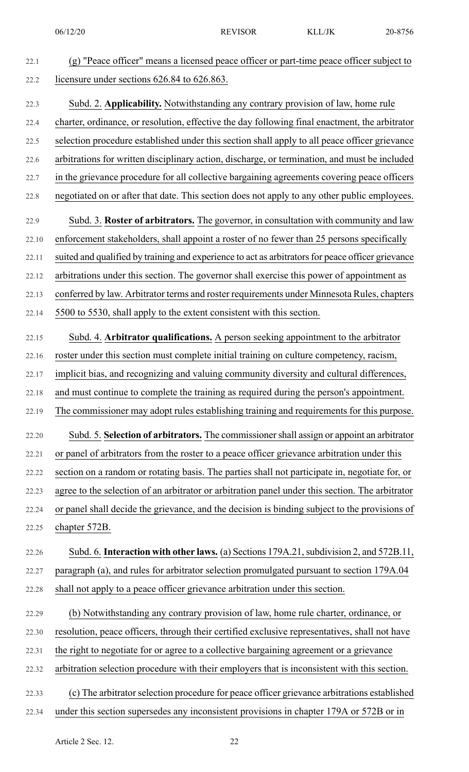| 22.1  | (g) "Peace officer" means a licensed peace officer or part-time peace officer subject to          |
|-------|---------------------------------------------------------------------------------------------------|
| 22.2  | licensure under sections 626.84 to 626.863.                                                       |
| 22.3  | Subd. 2. Applicability. Notwithstanding any contrary provision of law, home rule                  |
| 22.4  | charter, ordinance, or resolution, effective the day following final enactment, the arbitrator    |
| 22.5  | selection procedure established under this section shall apply to all peace officer grievance     |
| 22.6  | arbitrations for written disciplinary action, discharge, or termination, and must be included     |
| 22.7  | in the grievance procedure for all collective bargaining agreements covering peace officers       |
| 22.8  | negotiated on or after that date. This section does not apply to any other public employees.      |
| 22.9  | Subd. 3. Roster of arbitrators. The governor, in consultation with community and law              |
| 22.10 | enforcement stakeholders, shall appoint a roster of no fewer than 25 persons specifically         |
| 22.11 | suited and qualified by training and experience to act as arbitrators for peace officer grievance |
| 22.12 | arbitrations under this section. The governor shall exercise this power of appointment as         |
| 22.13 | conferred by law. Arbitrator terms and roster requirements under Minnesota Rules, chapters        |
| 22.14 | 5500 to 5530, shall apply to the extent consistent with this section.                             |
| 22.15 | Subd. 4. Arbitrator qualifications. A person seeking appointment to the arbitrator                |
| 22.16 | roster under this section must complete initial training on culture competency, racism,           |
| 22.17 | implicit bias, and recognizing and valuing community diversity and cultural differences,          |
| 22.18 | and must continue to complete the training as required during the person's appointment.           |
| 22.19 | The commissioner may adopt rules establishing training and requirements for this purpose.         |
| 22.20 | Subd. 5. Selection of arbitrators. The commissioner shall assign or appoint an arbitrator         |
| 22.21 | or panel of arbitrators from the roster to a peace officer grievance arbitration under this       |
| 22.22 | section on a random or rotating basis. The parties shall not participate in, negotiate for, or    |
| 22.23 | agree to the selection of an arbitrator or arbitration panel under this section. The arbitrator   |
| 22.24 | or panel shall decide the grievance, and the decision is binding subject to the provisions of     |
| 22.25 | chapter 572B.                                                                                     |
| 22.26 | Subd. 6. Interaction with other laws. (a) Sections 179A.21, subdivision 2, and 572B.11,           |
| 22.27 | paragraph (a), and rules for arbitrator selection promulgated pursuant to section 179A.04         |
| 22.28 | shall not apply to a peace officer grievance arbitration under this section.                      |
| 22.29 | (b) Notwithstanding any contrary provision of law, home rule charter, ordinance, or               |
| 22.30 | resolution, peace officers, through their certified exclusive representatives, shall not have     |
| 22.31 | the right to negotiate for or agree to a collective bargaining agreement or a grievance           |
| 22.32 | arbitration selection procedure with their employers that is inconsistent with this section.      |
| 22.33 | (c) The arbitrator selection procedure for peace officer grievance arbitrations established       |
| 22.34 | under this section supersedes any inconsistent provisions in chapter 179A or 572B or in           |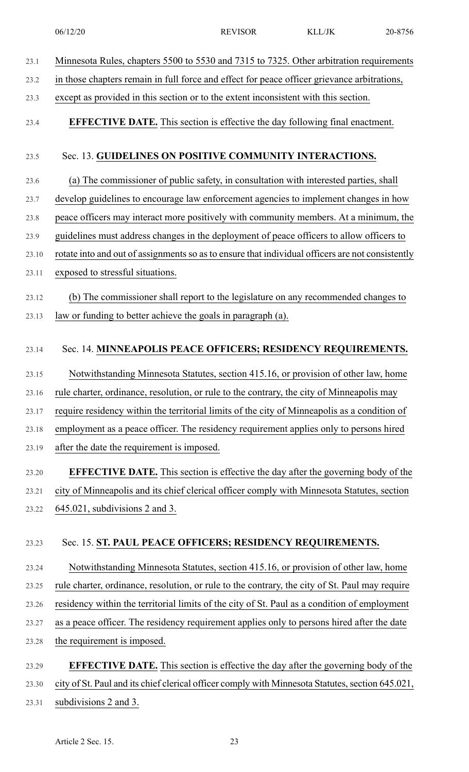|  | 23.1 | Minnesota Rules, chapters 5500 to 5530 and 7315 to 7325. Other arbitration requirements |  |  |  |  |  |  |  |  |  |
|--|------|-----------------------------------------------------------------------------------------|--|--|--|--|--|--|--|--|--|
|--|------|-----------------------------------------------------------------------------------------|--|--|--|--|--|--|--|--|--|

23.2 in those chapters remain in full force and effect for peace officer grievance arbitrations,

23.3 except as provided in this section or to the extent inconsistent with this section.

# 23.4 **EFFECTIVE DATE.** This section is effective the day following final enactment.

## 23.5 Sec. 13. **GUIDELINES ON POSITIVE COMMUNITY INTERACTIONS.**

23.6 (a) The commissioner of public safety, in consultation with interested parties, shall

23.7 develop guidelines to encourage law enforcement agencies to implement changes in how

23.8 peace officers may interact more positively with community members. At a minimum, the

23.9 guidelines must address changes in the deployment of peace officers to allow officers to

23.10 rotate into and out of assignments so as to ensure that individual officers are not consistently

- 23.11 exposed to stressful situations.
- 23.12 (b) The commissioner shall report to the legislature on any recommended changes to 23.13 law or funding to better achieve the goals in paragraph (a).

# 23.14 Sec. 14. **MINNEAPOLIS PEACE OFFICERS; RESIDENCY REQUIREMENTS.**

23.15 Notwithstanding Minnesota Statutes, section 415.16, or provision of other law, home

23.16 rule charter, ordinance, resolution, or rule to the contrary, the city of Minneapolis may

23.17 require residency within the territorial limits of the city of Minneapolis as a condition of

23.18 employment as a peace officer. The residency requirement applies only to persons hired 23.19 after the date the requirement is imposed.

23.20 **EFFECTIVE DATE.** This section is effective the day after the governing body of the 23.21 city of Minneapolis and its chief clerical officer comply with Minnesota Statutes, section 23.22 645.021, subdivisions 2 and 3.

# 23.23 Sec. 15. **ST. PAUL PEACE OFFICERS; RESIDENCY REQUIREMENTS.**

23.24 Notwithstanding Minnesota Statutes, section 415.16, or provision of other law, home 23.25 rule charter, ordinance, resolution, or rule to the contrary, the city of St. Paul may require 23.26 residency within the territorial limits of the city of St. Paul as a condition of employment 23.27 as a peace officer. The residency requirement applies only to persons hired after the date

- 23.28 the requirement is imposed.
- 23.29 **EFFECTIVE DATE.** This section is effective the day after the governing body of the 23.30 city of St. Paul and its chief clerical officer comply with Minnesota Statutes, section 645.021, 23.31 subdivisions 2 and 3.